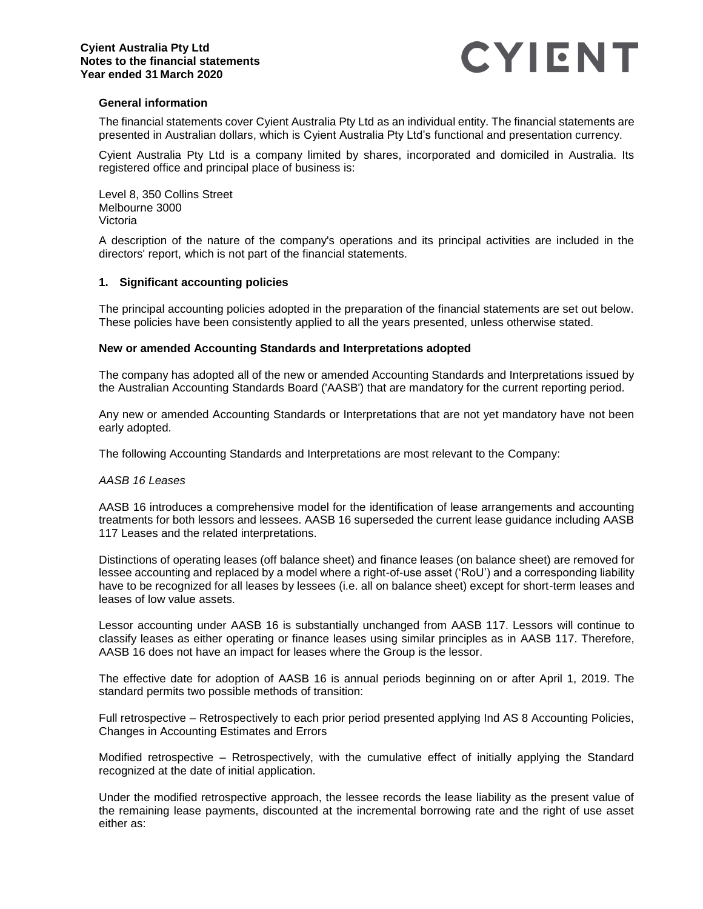

## **General information**

The financial statements cover Cyient Australia Pty Ltd as an individual entity. The financial statements are presented in Australian dollars, which is Cyient Australia Pty Ltd's functional and presentation currency.

Cyient Australia Pty Ltd is a company limited by shares, incorporated and domiciled in Australia. Its registered office and principal place of business is:

Level 8, 350 Collins Street Melbourne 3000 Victoria

A description of the nature of the company's operations and its principal activities are included in the directors' report, which is not part of the financial statements.

# **1. Significant accounting policies**

The principal accounting policies adopted in the preparation of the financial statements are set out below. These policies have been consistently applied to all the years presented, unless otherwise stated.

## **New or amended Accounting Standards and Interpretations adopted**

The company has adopted all of the new or amended Accounting Standards and Interpretations issued by the Australian Accounting Standards Board ('AASB') that are mandatory for the current reporting period.

Any new or amended Accounting Standards or Interpretations that are not yet mandatory have not been early adopted.

The following Accounting Standards and Interpretations are most relevant to the Company:

## *AASB 16 Leases*

AASB 16 introduces a comprehensive model for the identification of lease arrangements and accounting treatments for both lessors and lessees. AASB 16 superseded the current lease guidance including AASB 117 Leases and the related interpretations.

Distinctions of operating leases (off balance sheet) and finance leases (on balance sheet) are removed for lessee accounting and replaced by a model where a right-of-use asset ('RoU') and a corresponding liability have to be recognized for all leases by lessees (i.e. all on balance sheet) except for short-term leases and leases of low value assets.

Lessor accounting under AASB 16 is substantially unchanged from AASB 117. Lessors will continue to classify leases as either operating or finance leases using similar principles as in AASB 117. Therefore, AASB 16 does not have an impact for leases where the Group is the lessor.

The effective date for adoption of AASB 16 is annual periods beginning on or after April 1, 2019. The standard permits two possible methods of transition:

Full retrospective – Retrospectively to each prior period presented applying Ind AS 8 Accounting Policies, Changes in Accounting Estimates and Errors

Modified retrospective – Retrospectively, with the cumulative effect of initially applying the Standard recognized at the date of initial application.

Under the modified retrospective approach, the lessee records the lease liability as the present value of the remaining lease payments, discounted at the incremental borrowing rate and the right of use asset either as: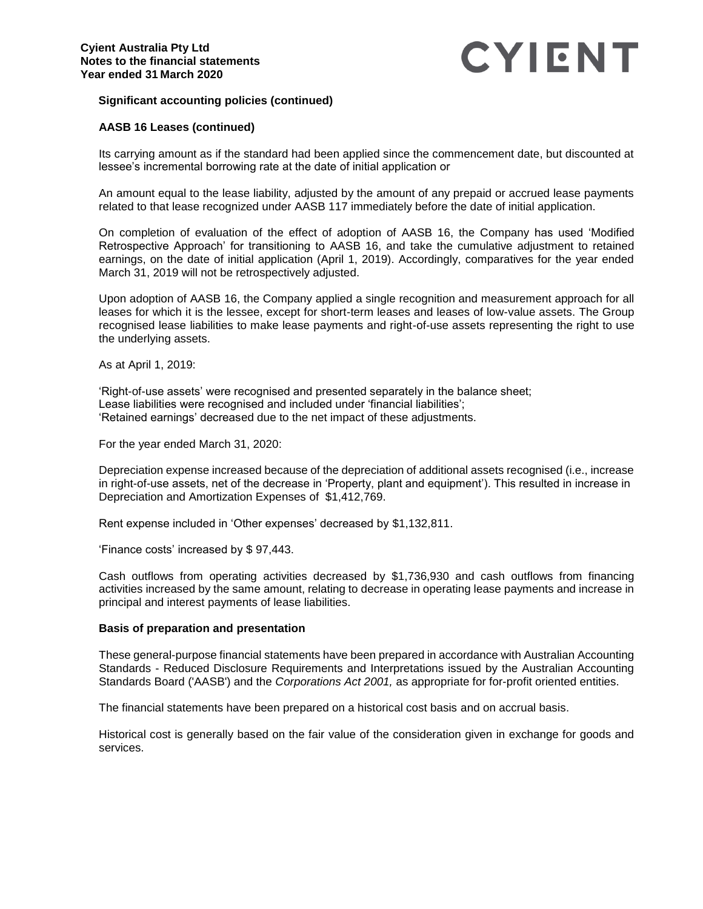# **Significant accounting policies (continued)**

# **AASB 16 Leases (continued)**

Its carrying amount as if the standard had been applied since the commencement date, but discounted at lessee's incremental borrowing rate at the date of initial application or

An amount equal to the lease liability, adjusted by the amount of any prepaid or accrued lease payments related to that lease recognized under AASB 117 immediately before the date of initial application.

On completion of evaluation of the effect of adoption of AASB 16, the Company has used 'Modified Retrospective Approach' for transitioning to AASB 16, and take the cumulative adjustment to retained earnings, on the date of initial application (April 1, 2019). Accordingly, comparatives for the year ended March 31, 2019 will not be retrospectively adjusted.

Upon adoption of AASB 16, the Company applied a single recognition and measurement approach for all leases for which it is the lessee, except for short-term leases and leases of low-value assets. The Group recognised lease liabilities to make lease payments and right-of-use assets representing the right to use the underlying assets.

As at April 1, 2019:

'Right-of-use assets' were recognised and presented separately in the balance sheet; Lease liabilities were recognised and included under 'financial liabilities'; 'Retained earnings' decreased due to the net impact of these adjustments.

For the year ended March 31, 2020:

Depreciation expense increased because of the depreciation of additional assets recognised (i.e., increase in right-of-use assets, net of the decrease in 'Property, plant and equipment'). This resulted in increase in Depreciation and Amortization Expenses of \$1,412,769.

Rent expense included in 'Other expenses' decreased by \$1,132,811.

'Finance costs' increased by \$ 97,443.

Cash outflows from operating activities decreased by \$1,736,930 and cash outflows from financing activities increased by the same amount, relating to decrease in operating lease payments and increase in principal and interest payments of lease liabilities.

## **Basis of preparation and presentation**

These general-purpose financial statements have been prepared in accordance with Australian Accounting Standards - Reduced Disclosure Requirements and Interpretations issued by the Australian Accounting Standards Board ('AASB') and the *Corporations Act 2001,* as appropriate for for-profit oriented entities.

The financial statements have been prepared on a historical cost basis and on accrual basis.

Historical cost is generally based on the fair value of the consideration given in exchange for goods and services.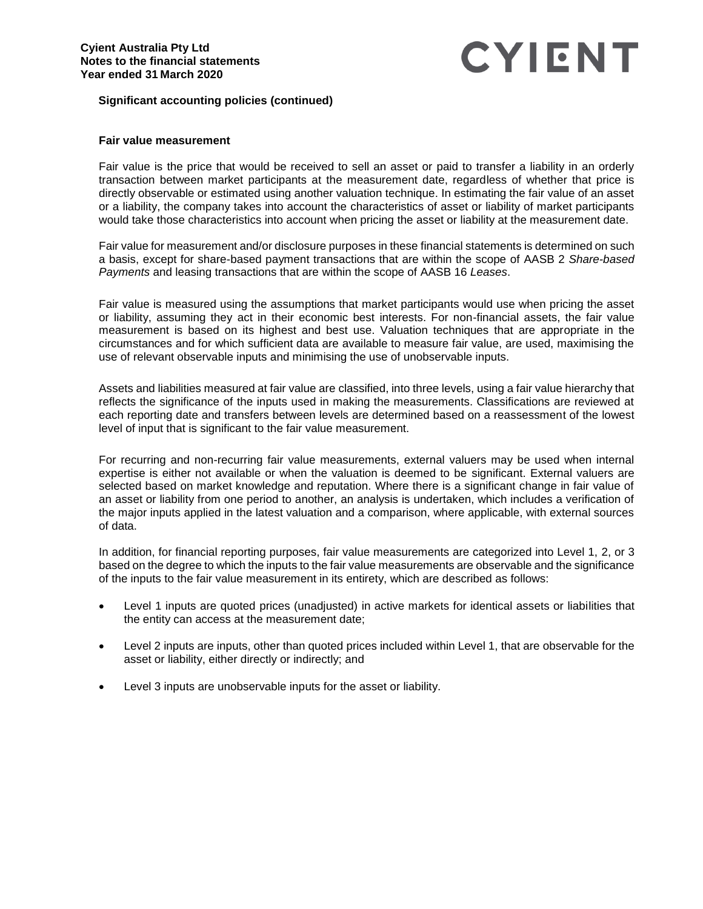# **Significant accounting policies (continued)**

# **Fair value measurement**

Fair value is the price that would be received to sell an asset or paid to transfer a liability in an orderly transaction between market participants at the measurement date, regardless of whether that price is directly observable or estimated using another valuation technique. In estimating the fair value of an asset or a liability, the company takes into account the characteristics of asset or liability of market participants would take those characteristics into account when pricing the asset or liability at the measurement date.

Fair value for measurement and/or disclosure purposes in these financial statements is determined on such a basis, except for share-based payment transactions that are within the scope of AASB 2 *Share-based Payments* and leasing transactions that are within the scope of AASB 16 *Leases*.

Fair value is measured using the assumptions that market participants would use when pricing the asset or liability, assuming they act in their economic best interests. For non-financial assets, the fair value measurement is based on its highest and best use. Valuation techniques that are appropriate in the circumstances and for which sufficient data are available to measure fair value, are used, maximising the use of relevant observable inputs and minimising the use of unobservable inputs.

Assets and liabilities measured at fair value are classified, into three levels, using a fair value hierarchy that reflects the significance of the inputs used in making the measurements. Classifications are reviewed at each reporting date and transfers between levels are determined based on a reassessment of the lowest level of input that is significant to the fair value measurement.

For recurring and non-recurring fair value measurements, external valuers may be used when internal expertise is either not available or when the valuation is deemed to be significant. External valuers are selected based on market knowledge and reputation. Where there is a significant change in fair value of an asset or liability from one period to another, an analysis is undertaken, which includes a verification of the major inputs applied in the latest valuation and a comparison, where applicable, with external sources of data.

In addition, for financial reporting purposes, fair value measurements are categorized into Level 1, 2, or 3 based on the degree to which the inputs to the fair value measurements are observable and the significance of the inputs to the fair value measurement in its entirety, which are described as follows:

- Level 1 inputs are quoted prices (unadjusted) in active markets for identical assets or liabilities that the entity can access at the measurement date;
- Level 2 inputs are inputs, other than quoted prices included within Level 1, that are observable for the asset or liability, either directly or indirectly; and
- Level 3 inputs are unobservable inputs for the asset or liability.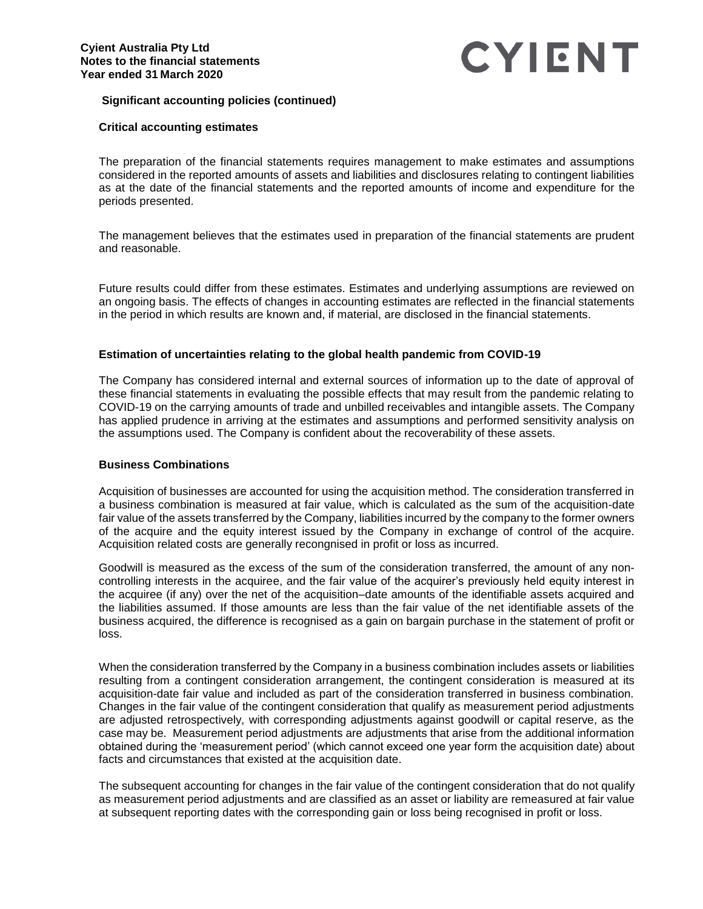# **Significant accounting policies (continued)**

# **Critical accounting estimates**

The preparation of the financial statements requires management to make estimates and assumptions considered in the reported amounts of assets and liabilities and disclosures relating to contingent liabilities as at the date of the financial statements and the reported amounts of income and expenditure for the periods presented.

The management believes that the estimates used in preparation of the financial statements are prudent and reasonable.

Future results could differ from these estimates. Estimates and underlying assumptions are reviewed on an ongoing basis. The effects of changes in accounting estimates are reflected in the financial statements in the period in which results are known and, if material, are disclosed in the financial statements.

# **Estimation of uncertainties relating to the global health pandemic from COVID-19**

The Company has considered internal and external sources of information up to the date of approval of these financial statements in evaluating the possible effects that may result from the pandemic relating to COVID-19 on the carrying amounts of trade and unbilled receivables and intangible assets. The Company has applied prudence in arriving at the estimates and assumptions and performed sensitivity analysis on the assumptions used. The Company is confident about the recoverability of these assets.

## **Business Combinations**

Acquisition of businesses are accounted for using the acquisition method. The consideration transferred in a business combination is measured at fair value, which is calculated as the sum of the acquisition-date fair value of the assets transferred by the Company, liabilities incurred by the company to the former owners of the acquire and the equity interest issued by the Company in exchange of control of the acquire. Acquisition related costs are generally recongnised in profit or loss as incurred.

Goodwill is measured as the excess of the sum of the consideration transferred, the amount of any noncontrolling interests in the acquiree, and the fair value of the acquirer's previously held equity interest in the acquiree (if any) over the net of the acquisition–date amounts of the identifiable assets acquired and the liabilities assumed. If those amounts are less than the fair value of the net identifiable assets of the business acquired, the difference is recognised as a gain on bargain purchase in the statement of profit or loss.

When the consideration transferred by the Company in a business combination includes assets or liabilities resulting from a contingent consideration arrangement, the contingent consideration is measured at its acquisition-date fair value and included as part of the consideration transferred in business combination. Changes in the fair value of the contingent consideration that qualify as measurement period adjustments are adjusted retrospectively, with corresponding adjustments against goodwill or capital reserve, as the case may be. Measurement period adjustments are adjustments that arise from the additional information obtained during the 'measurement period' (which cannot exceed one year form the acquisition date) about facts and circumstances that existed at the acquisition date.

The subsequent accounting for changes in the fair value of the contingent consideration that do not qualify as measurement period adjustments and are classified as an asset or liability are remeasured at fair value at subsequent reporting dates with the corresponding gain or loss being recognised in profit or loss.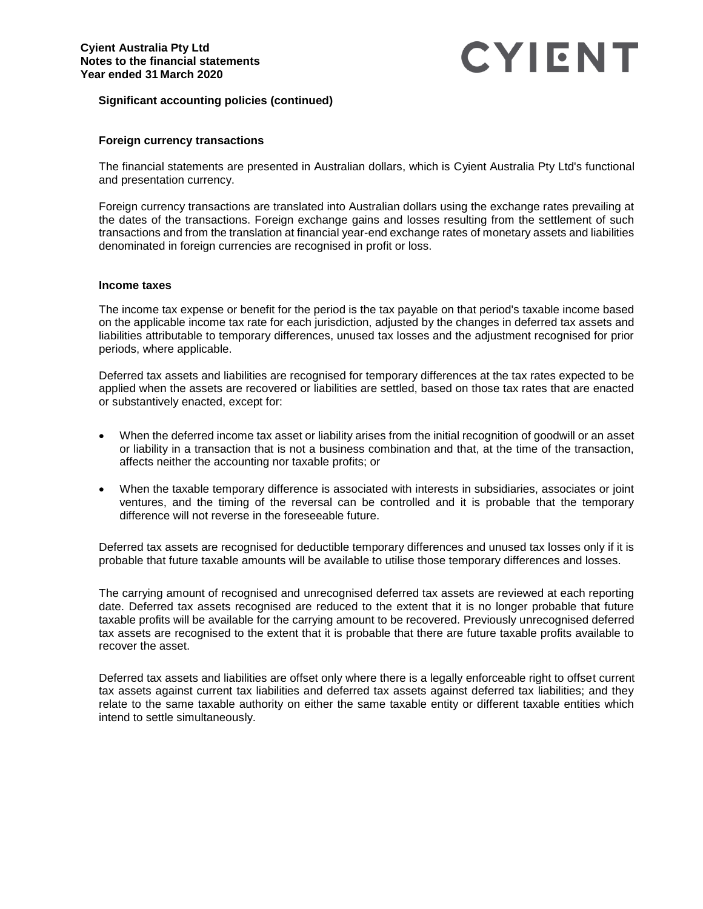# **Significant accounting policies (continued)**

## **Foreign currency transactions**

The financial statements are presented in Australian dollars, which is Cyient Australia Pty Ltd's functional and presentation currency.

Foreign currency transactions are translated into Australian dollars using the exchange rates prevailing at the dates of the transactions. Foreign exchange gains and losses resulting from the settlement of such transactions and from the translation at financial year-end exchange rates of monetary assets and liabilities denominated in foreign currencies are recognised in profit or loss.

### **Income taxes**

The income tax expense or benefit for the period is the tax payable on that period's taxable income based on the applicable income tax rate for each jurisdiction, adjusted by the changes in deferred tax assets and liabilities attributable to temporary differences, unused tax losses and the adjustment recognised for prior periods, where applicable.

Deferred tax assets and liabilities are recognised for temporary differences at the tax rates expected to be applied when the assets are recovered or liabilities are settled, based on those tax rates that are enacted or substantively enacted, except for:

- When the deferred income tax asset or liability arises from the initial recognition of goodwill or an asset or liability in a transaction that is not a business combination and that, at the time of the transaction, affects neither the accounting nor taxable profits; or
- When the taxable temporary difference is associated with interests in subsidiaries, associates or joint ventures, and the timing of the reversal can be controlled and it is probable that the temporary difference will not reverse in the foreseeable future.

Deferred tax assets are recognised for deductible temporary differences and unused tax losses only if it is probable that future taxable amounts will be available to utilise those temporary differences and losses.

The carrying amount of recognised and unrecognised deferred tax assets are reviewed at each reporting date. Deferred tax assets recognised are reduced to the extent that it is no longer probable that future taxable profits will be available for the carrying amount to be recovered. Previously unrecognised deferred tax assets are recognised to the extent that it is probable that there are future taxable profits available to recover the asset.

Deferred tax assets and liabilities are offset only where there is a legally enforceable right to offset current tax assets against current tax liabilities and deferred tax assets against deferred tax liabilities; and they relate to the same taxable authority on either the same taxable entity or different taxable entities which intend to settle simultaneously.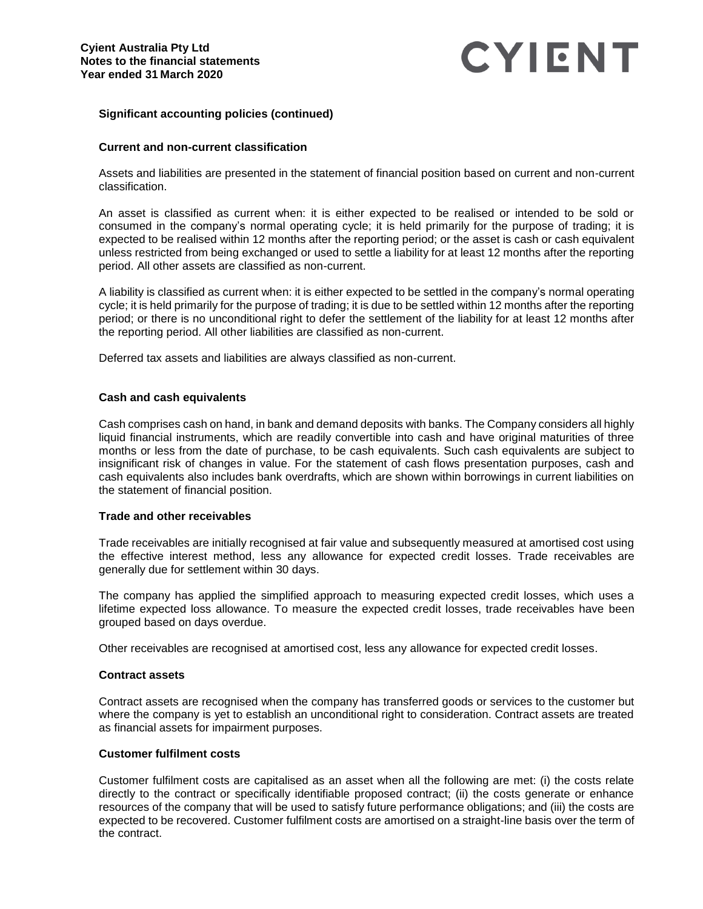# **Significant accounting policies (continued)**

# **Current and non-current classification**

Assets and liabilities are presented in the statement of financial position based on current and non-current classification.

An asset is classified as current when: it is either expected to be realised or intended to be sold or consumed in the company's normal operating cycle; it is held primarily for the purpose of trading; it is expected to be realised within 12 months after the reporting period; or the asset is cash or cash equivalent unless restricted from being exchanged or used to settle a liability for at least 12 months after the reporting period. All other assets are classified as non-current.

A liability is classified as current when: it is either expected to be settled in the company's normal operating cycle; it is held primarily for the purpose of trading; it is due to be settled within 12 months after the reporting period; or there is no unconditional right to defer the settlement of the liability for at least 12 months after the reporting period. All other liabilities are classified as non-current.

Deferred tax assets and liabilities are always classified as non-current.

## **Cash and cash equivalents**

Cash comprises cash on hand, in bank and demand deposits with banks. The Company considers all highly liquid financial instruments, which are readily convertible into cash and have original maturities of three months or less from the date of purchase, to be cash equivalents. Such cash equivalents are subject to insignificant risk of changes in value. For the statement of cash flows presentation purposes, cash and cash equivalents also includes bank overdrafts, which are shown within borrowings in current liabilities on the statement of financial position.

## **Trade and other receivables**

Trade receivables are initially recognised at fair value and subsequently measured at amortised cost using the effective interest method, less any allowance for expected credit losses. Trade receivables are generally due for settlement within 30 days.

The company has applied the simplified approach to measuring expected credit losses, which uses a lifetime expected loss allowance. To measure the expected credit losses, trade receivables have been grouped based on days overdue.

Other receivables are recognised at amortised cost, less any allowance for expected credit losses.

## **Contract assets**

Contract assets are recognised when the company has transferred goods or services to the customer but where the company is yet to establish an unconditional right to consideration. Contract assets are treated as financial assets for impairment purposes.

## **Customer fulfilment costs**

Customer fulfilment costs are capitalised as an asset when all the following are met: (i) the costs relate directly to the contract or specifically identifiable proposed contract; (ii) the costs generate or enhance resources of the company that will be used to satisfy future performance obligations; and (iii) the costs are expected to be recovered. Customer fulfilment costs are amortised on a straight-line basis over the term of the contract.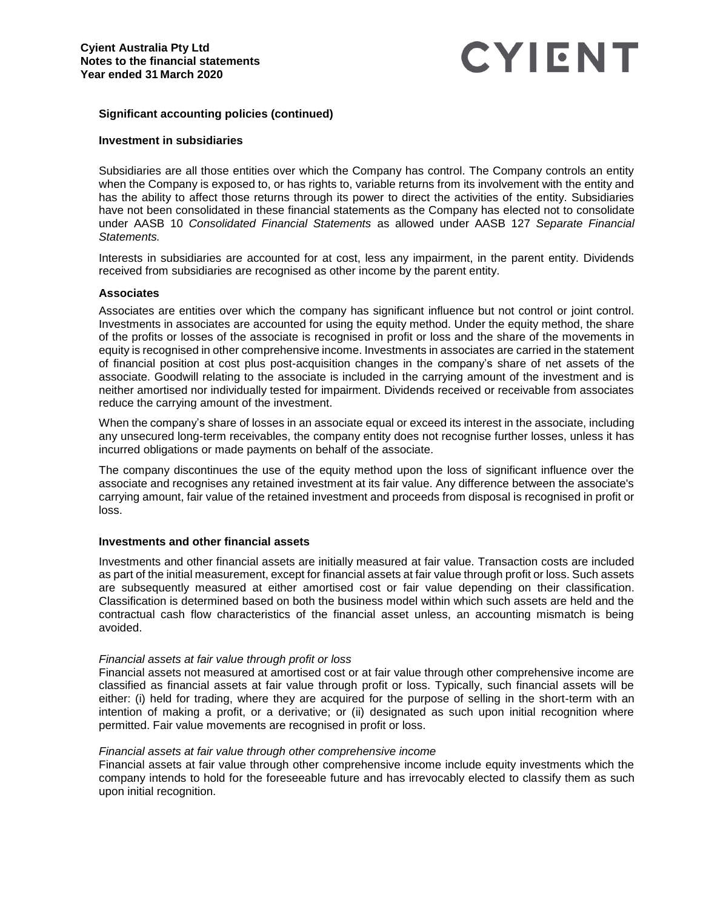# **Significant accounting policies (continued)**

### **Investment in subsidiaries**

Subsidiaries are all those entities over which the Company has control. The Company controls an entity when the Company is exposed to, or has rights to, variable returns from its involvement with the entity and has the ability to affect those returns through its power to direct the activities of the entity. Subsidiaries have not been consolidated in these financial statements as the Company has elected not to consolidate under AASB 10 *Consolidated Financial Statements* as allowed under AASB 127 *Separate Financial Statements.*

Interests in subsidiaries are accounted for at cost, less any impairment, in the parent entity. Dividends received from subsidiaries are recognised as other income by the parent entity.

### **Associates**

Associates are entities over which the company has significant influence but not control or joint control. Investments in associates are accounted for using the equity method. Under the equity method, the share of the profits or losses of the associate is recognised in profit or loss and the share of the movements in equity is recognised in other comprehensive income. Investments in associates are carried in the statement of financial position at cost plus post-acquisition changes in the company's share of net assets of the associate. Goodwill relating to the associate is included in the carrying amount of the investment and is neither amortised nor individually tested for impairment. Dividends received or receivable from associates reduce the carrying amount of the investment.

When the company's share of losses in an associate equal or exceed its interest in the associate, including any unsecured long-term receivables, the company entity does not recognise further losses, unless it has incurred obligations or made payments on behalf of the associate.

The company discontinues the use of the equity method upon the loss of significant influence over the associate and recognises any retained investment at its fair value. Any difference between the associate's carrying amount, fair value of the retained investment and proceeds from disposal is recognised in profit or loss.

#### **Investments and other financial assets**

Investments and other financial assets are initially measured at fair value. Transaction costs are included as part of the initial measurement, except for financial assets at fair value through profit or loss. Such assets are subsequently measured at either amortised cost or fair value depending on their classification. Classification is determined based on both the business model within which such assets are held and the contractual cash flow characteristics of the financial asset unless, an accounting mismatch is being avoided.

#### *Financial assets at fair value through profit or loss*

Financial assets not measured at amortised cost or at fair value through other comprehensive income are classified as financial assets at fair value through profit or loss. Typically, such financial assets will be either: (i) held for trading, where they are acquired for the purpose of selling in the short-term with an intention of making a profit, or a derivative; or (ii) designated as such upon initial recognition where permitted. Fair value movements are recognised in profit or loss.

#### *Financial assets at fair value through other comprehensive income*

Financial assets at fair value through other comprehensive income include equity investments which the company intends to hold for the foreseeable future and has irrevocably elected to classify them as such upon initial recognition.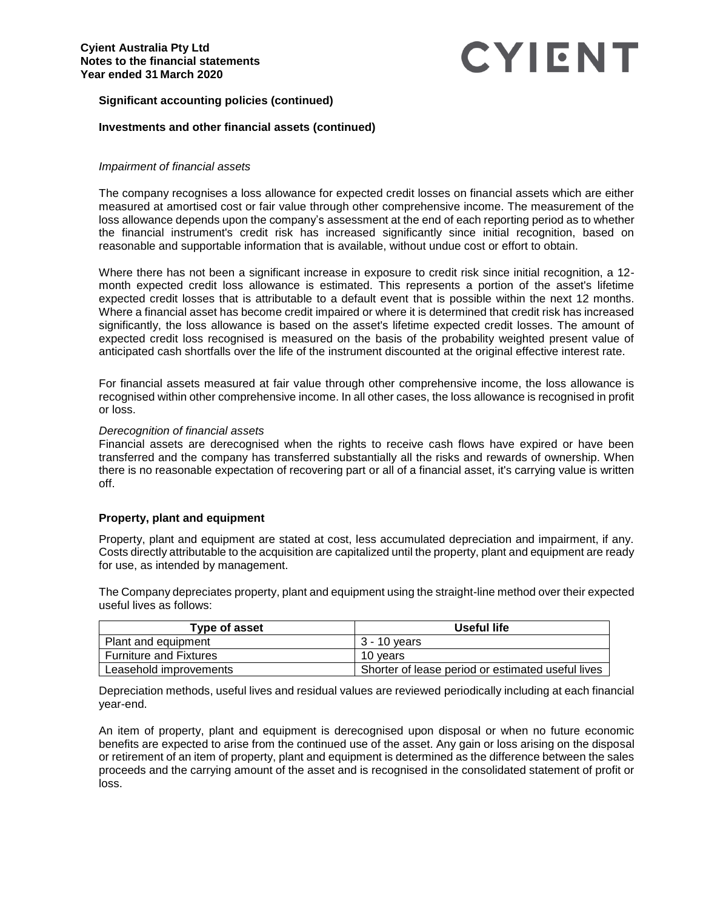# **Significant accounting policies (continued)**

# **Investments and other financial assets (continued)**

### *Impairment of financial assets*

The company recognises a loss allowance for expected credit losses on financial assets which are either measured at amortised cost or fair value through other comprehensive income. The measurement of the loss allowance depends upon the company's assessment at the end of each reporting period as to whether the financial instrument's credit risk has increased significantly since initial recognition, based on reasonable and supportable information that is available, without undue cost or effort to obtain.

Where there has not been a significant increase in exposure to credit risk since initial recognition, a 12 month expected credit loss allowance is estimated. This represents a portion of the asset's lifetime expected credit losses that is attributable to a default event that is possible within the next 12 months. Where a financial asset has become credit impaired or where it is determined that credit risk has increased significantly, the loss allowance is based on the asset's lifetime expected credit losses. The amount of expected credit loss recognised is measured on the basis of the probability weighted present value of anticipated cash shortfalls over the life of the instrument discounted at the original effective interest rate.

For financial assets measured at fair value through other comprehensive income, the loss allowance is recognised within other comprehensive income. In all other cases, the loss allowance is recognised in profit or loss.

#### *Derecognition of financial assets*

Financial assets are derecognised when the rights to receive cash flows have expired or have been transferred and the company has transferred substantially all the risks and rewards of ownership. When there is no reasonable expectation of recovering part or all of a financial asset, it's carrying value is written off.

## **Property, plant and equipment**

Property, plant and equipment are stated at cost, less accumulated depreciation and impairment, if any. Costs directly attributable to the acquisition are capitalized until the property, plant and equipment are ready for use, as intended by management.

The Company depreciates property, plant and equipment using the straight-line method over their expected useful lives as follows:

| Type of asset                 | Useful life                                       |
|-------------------------------|---------------------------------------------------|
| Plant and equipment           | 3 - 10 vears                                      |
| <b>Furniture and Fixtures</b> | 10 vears                                          |
| Leasehold improvements        | Shorter of lease period or estimated useful lives |

Depreciation methods, useful lives and residual values are reviewed periodically including at each financial year-end.

An item of property, plant and equipment is derecognised upon disposal or when no future economic benefits are expected to arise from the continued use of the asset. Any gain or loss arising on the disposal or retirement of an item of property, plant and equipment is determined as the difference between the sales proceeds and the carrying amount of the asset and is recognised in the consolidated statement of profit or loss.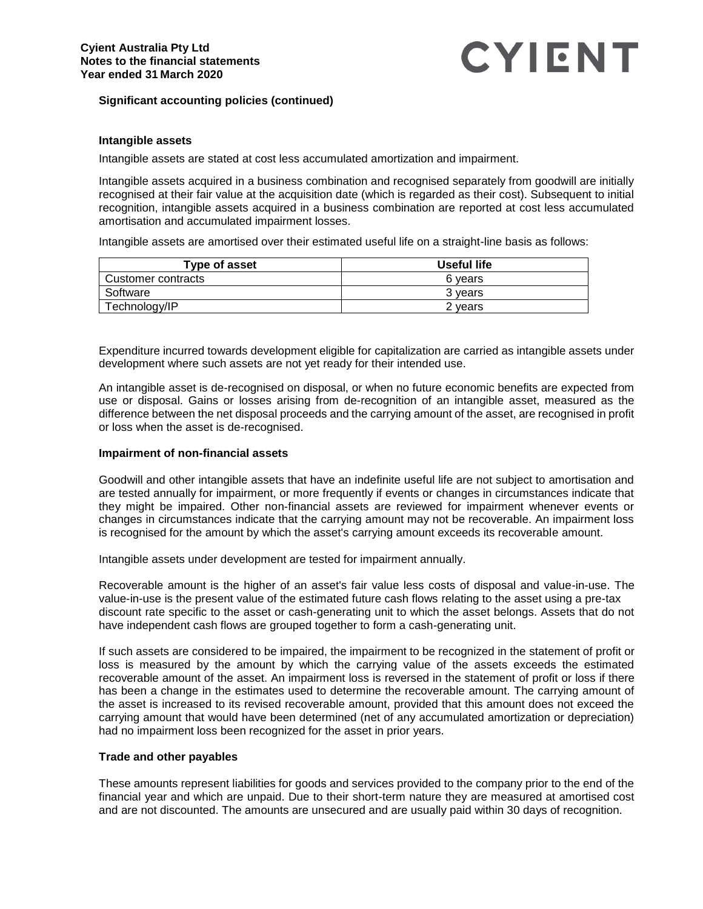# **Significant accounting policies (continued)**

# **Intangible assets**

Intangible assets are stated at cost less accumulated amortization and impairment.

Intangible assets acquired in a business combination and recognised separately from goodwill are initially recognised at their fair value at the acquisition date (which is regarded as their cost). Subsequent to initial recognition, intangible assets acquired in a business combination are reported at cost less accumulated amortisation and accumulated impairment losses.

Intangible assets are amortised over their estimated useful life on a straight-line basis as follows:

| Type of asset      | Useful life |
|--------------------|-------------|
| Customer contracts | 6 vears     |
| Software           | 3 vears     |
| Technology/IP      | 2 years     |

Expenditure incurred towards development eligible for capitalization are carried as intangible assets under development where such assets are not yet ready for their intended use.

An intangible asset is de-recognised on disposal, or when no future economic benefits are expected from use or disposal. Gains or losses arising from de-recognition of an intangible asset, measured as the difference between the net disposal proceeds and the carrying amount of the asset, are recognised in profit or loss when the asset is de-recognised.

### **Impairment of non-financial assets**

Goodwill and other intangible assets that have an indefinite useful life are not subject to amortisation and are tested annually for impairment, or more frequently if events or changes in circumstances indicate that they might be impaired. Other non-financial assets are reviewed for impairment whenever events or changes in circumstances indicate that the carrying amount may not be recoverable. An impairment loss is recognised for the amount by which the asset's carrying amount exceeds its recoverable amount.

Intangible assets under development are tested for impairment annually.

Recoverable amount is the higher of an asset's fair value less costs of disposal and value-in-use. The value-in-use is the present value of the estimated future cash flows relating to the asset using a pre-tax discount rate specific to the asset or cash-generating unit to which the asset belongs. Assets that do not have independent cash flows are grouped together to form a cash-generating unit.

If such assets are considered to be impaired, the impairment to be recognized in the statement of profit or loss is measured by the amount by which the carrying value of the assets exceeds the estimated recoverable amount of the asset. An impairment loss is reversed in the statement of profit or loss if there has been a change in the estimates used to determine the recoverable amount. The carrying amount of the asset is increased to its revised recoverable amount, provided that this amount does not exceed the carrying amount that would have been determined (net of any accumulated amortization or depreciation) had no impairment loss been recognized for the asset in prior years.

## **Trade and other payables**

These amounts represent liabilities for goods and services provided to the company prior to the end of the financial year and which are unpaid. Due to their short-term nature they are measured at amortised cost and are not discounted. The amounts are unsecured and are usually paid within 30 days of recognition.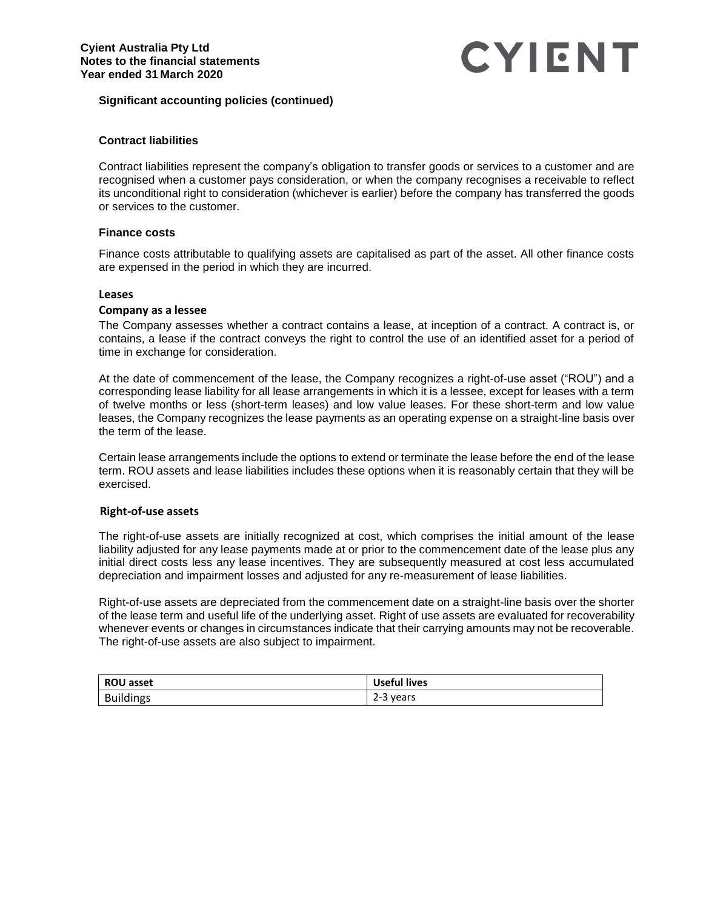# **Significant accounting policies (continued)**

# **Contract liabilities**

Contract liabilities represent the company's obligation to transfer goods or services to a customer and are recognised when a customer pays consideration, or when the company recognises a receivable to reflect its unconditional right to consideration (whichever is earlier) before the company has transferred the goods or services to the customer.

## **Finance costs**

Finance costs attributable to qualifying assets are capitalised as part of the asset. All other finance costs are expensed in the period in which they are incurred.

### **Leases**

## **Company as a lessee**

The Company assesses whether a contract contains a lease, at inception of a contract. A contract is, or contains, a lease if the contract conveys the right to control the use of an identified asset for a period of time in exchange for consideration.

At the date of commencement of the lease, the Company recognizes a right-of-use asset ("ROU") and a corresponding lease liability for all lease arrangements in which it is a lessee, except for leases with a term of twelve months or less (short-term leases) and low value leases. For these short-term and low value leases, the Company recognizes the lease payments as an operating expense on a straight-line basis over the term of the lease.

Certain lease arrangements include the options to extend or terminate the lease before the end of the lease term. ROU assets and lease liabilities includes these options when it is reasonably certain that they will be exercised.

## **Right-of-use assets**

The right-of-use assets are initially recognized at cost, which comprises the initial amount of the lease liability adjusted for any lease payments made at or prior to the commencement date of the lease plus any initial direct costs less any lease incentives. They are subsequently measured at cost less accumulated depreciation and impairment losses and adjusted for any re-measurement of lease liabilities.

Right-of-use assets are depreciated from the commencement date on a straight-line basis over the shorter of the lease term and useful life of the underlying asset. Right of use assets are evaluated for recoverability whenever events or changes in circumstances indicate that their carrying amounts may not be recoverable. The right-of-use assets are also subject to impairment.

| <b>ROU asset</b> | <b>Useful lives</b> |
|------------------|---------------------|
| <b>Buildings</b> | 2-3 years           |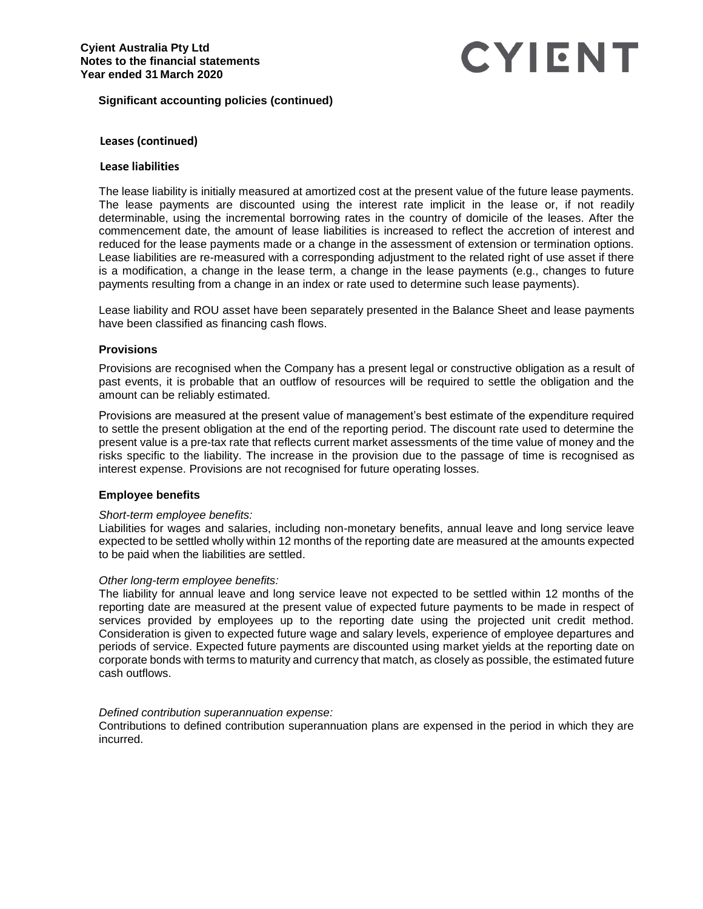# **Significant accounting policies (continued)**

## **Leases (continued)**

#### **Lease liabilities**

The lease liability is initially measured at amortized cost at the present value of the future lease payments. The lease payments are discounted using the interest rate implicit in the lease or, if not readily determinable, using the incremental borrowing rates in the country of domicile of the leases. After the commencement date, the amount of lease liabilities is increased to reflect the accretion of interest and reduced for the lease payments made or a change in the assessment of extension or termination options. Lease liabilities are re-measured with a corresponding adjustment to the related right of use asset if there is a modification, a change in the lease term, a change in the lease payments (e.g., changes to future payments resulting from a change in an index or rate used to determine such lease payments).

Lease liability and ROU asset have been separately presented in the Balance Sheet and lease payments have been classified as financing cash flows.

### **Provisions**

Provisions are recognised when the Company has a present legal or constructive obligation as a result of past events, it is probable that an outflow of resources will be required to settle the obligation and the amount can be reliably estimated.

Provisions are measured at the present value of management's best estimate of the expenditure required to settle the present obligation at the end of the reporting period. The discount rate used to determine the present value is a pre-tax rate that reflects current market assessments of the time value of money and the risks specific to the liability. The increase in the provision due to the passage of time is recognised as interest expense. Provisions are not recognised for future operating losses.

#### **Employee benefits**

#### *Short-term employee benefits:*

Liabilities for wages and salaries, including non-monetary benefits, annual leave and long service leave expected to be settled wholly within 12 months of the reporting date are measured at the amounts expected to be paid when the liabilities are settled.

#### *Other long-term employee benefits:*

The liability for annual leave and long service leave not expected to be settled within 12 months of the reporting date are measured at the present value of expected future payments to be made in respect of services provided by employees up to the reporting date using the projected unit credit method. Consideration is given to expected future wage and salary levels, experience of employee departures and periods of service. Expected future payments are discounted using market yields at the reporting date on corporate bonds with terms to maturity and currency that match, as closely as possible, the estimated future cash outflows.

### *Defined contribution superannuation expense:*

Contributions to defined contribution superannuation plans are expensed in the period in which they are incurred.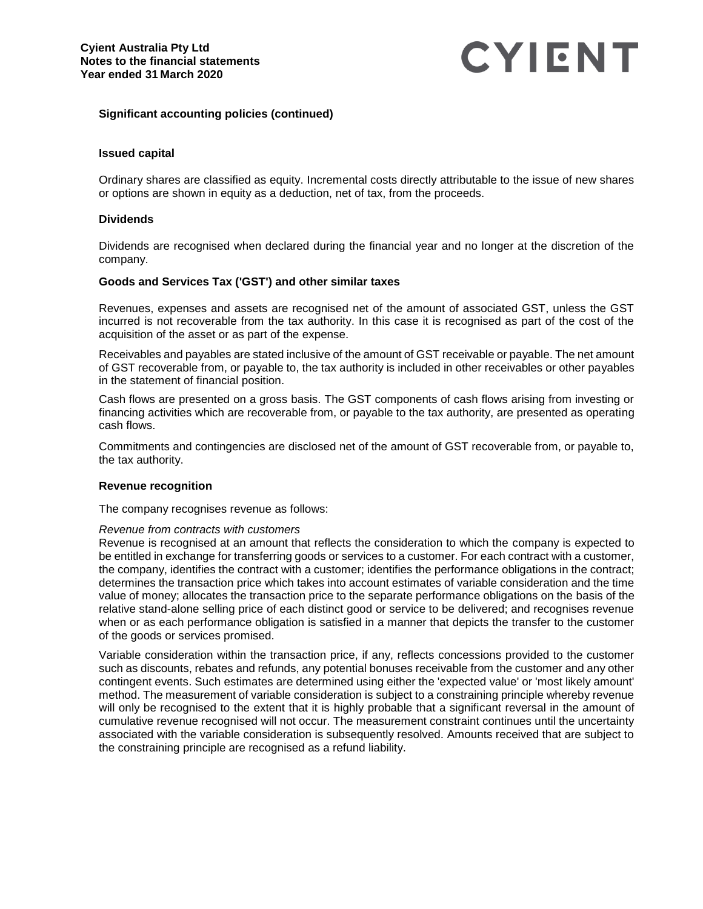# **Significant accounting policies (continued)**

## **Issued capital**

Ordinary shares are classified as equity. Incremental costs directly attributable to the issue of new shares or options are shown in equity as a deduction, net of tax, from the proceeds.

### **Dividends**

Dividends are recognised when declared during the financial year and no longer at the discretion of the company.

## **Goods and Services Tax ('GST') and other similar taxes**

Revenues, expenses and assets are recognised net of the amount of associated GST, unless the GST incurred is not recoverable from the tax authority. In this case it is recognised as part of the cost of the acquisition of the asset or as part of the expense.

Receivables and payables are stated inclusive of the amount of GST receivable or payable. The net amount of GST recoverable from, or payable to, the tax authority is included in other receivables or other payables in the statement of financial position.

Cash flows are presented on a gross basis. The GST components of cash flows arising from investing or financing activities which are recoverable from, or payable to the tax authority, are presented as operating cash flows.

Commitments and contingencies are disclosed net of the amount of GST recoverable from, or payable to, the tax authority.

## **Revenue recognition**

The company recognises revenue as follows:

#### *Revenue from contracts with customers*

Revenue is recognised at an amount that reflects the consideration to which the company is expected to be entitled in exchange for transferring goods or services to a customer. For each contract with a customer, the company, identifies the contract with a customer; identifies the performance obligations in the contract; determines the transaction price which takes into account estimates of variable consideration and the time value of money; allocates the transaction price to the separate performance obligations on the basis of the relative stand-alone selling price of each distinct good or service to be delivered; and recognises revenue when or as each performance obligation is satisfied in a manner that depicts the transfer to the customer of the goods or services promised.

Variable consideration within the transaction price, if any, reflects concessions provided to the customer such as discounts, rebates and refunds, any potential bonuses receivable from the customer and any other contingent events. Such estimates are determined using either the 'expected value' or 'most likely amount' method. The measurement of variable consideration is subject to a constraining principle whereby revenue will only be recognised to the extent that it is highly probable that a significant reversal in the amount of cumulative revenue recognised will not occur. The measurement constraint continues until the uncertainty associated with the variable consideration is subsequently resolved. Amounts received that are subject to the constraining principle are recognised as a refund liability.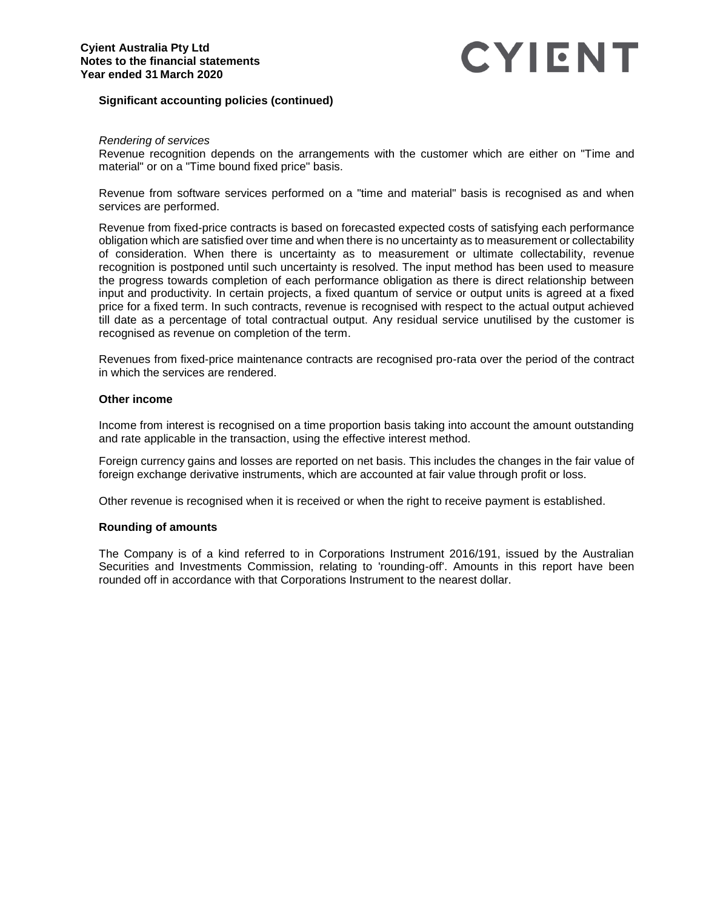# **Significant accounting policies (continued)**

### *Rendering of services*

Revenue recognition depends on the arrangements with the customer which are either on "Time and material" or on a "Time bound fixed price" basis.

Revenue from software services performed on a "time and material" basis is recognised as and when services are performed.

Revenue from fixed-price contracts is based on forecasted expected costs of satisfying each performance obligation which are satisfied over time and when there is no uncertainty as to measurement or collectability of consideration. When there is uncertainty as to measurement or ultimate collectability, revenue recognition is postponed until such uncertainty is resolved. The input method has been used to measure the progress towards completion of each performance obligation as there is direct relationship between input and productivity. In certain projects, a fixed quantum of service or output units is agreed at a fixed price for a fixed term. In such contracts, revenue is recognised with respect to the actual output achieved till date as a percentage of total contractual output. Any residual service unutilised by the customer is recognised as revenue on completion of the term.

Revenues from fixed-price maintenance contracts are recognised pro-rata over the period of the contract in which the services are rendered.

# **Other income**

Income from interest is recognised on a time proportion basis taking into account the amount outstanding and rate applicable in the transaction, using the effective interest method.

Foreign currency gains and losses are reported on net basis. This includes the changes in the fair value of foreign exchange derivative instruments, which are accounted at fair value through profit or loss.

Other revenue is recognised when it is received or when the right to receive payment is established.

#### **Rounding of amounts**

The Company is of a kind referred to in Corporations Instrument 2016/191, issued by the Australian Securities and Investments Commission, relating to 'rounding-off'. Amounts in this report have been rounded off in accordance with that Corporations Instrument to the nearest dollar.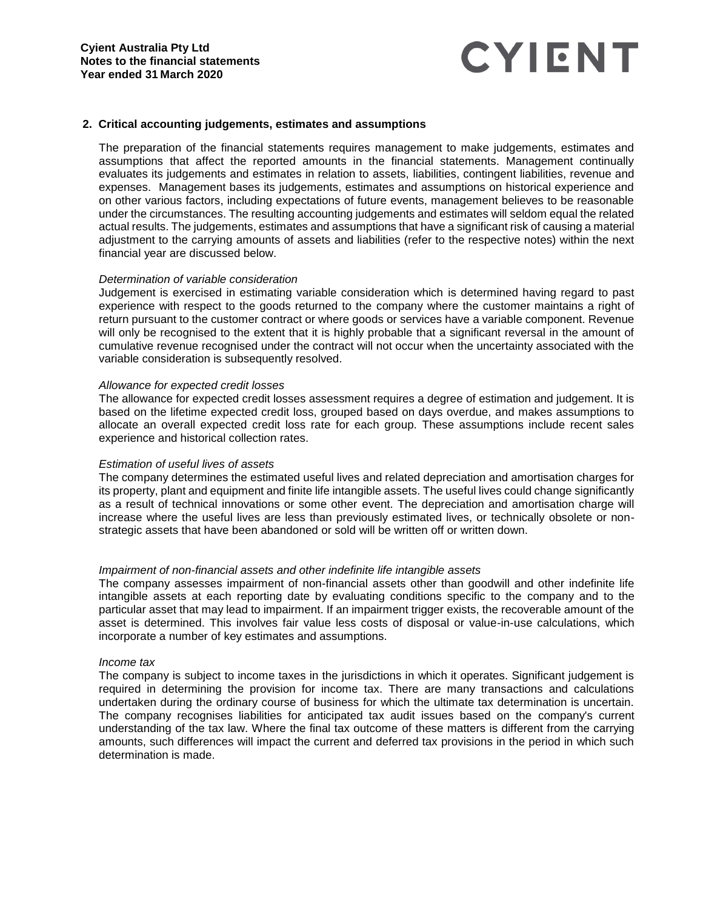### **2. Critical accounting judgements, estimates and assumptions**

The preparation of the financial statements requires management to make judgements, estimates and assumptions that affect the reported amounts in the financial statements. Management continually evaluates its judgements and estimates in relation to assets, liabilities, contingent liabilities, revenue and expenses. Management bases its judgements, estimates and assumptions on historical experience and on other various factors, including expectations of future events, management believes to be reasonable under the circumstances. The resulting accounting judgements and estimates will seldom equal the related actual results. The judgements, estimates and assumptions that have a significant risk of causing a material adjustment to the carrying amounts of assets and liabilities (refer to the respective notes) within the next financial year are discussed below.

### *Determination of variable consideration*

Judgement is exercised in estimating variable consideration which is determined having regard to past experience with respect to the goods returned to the company where the customer maintains a right of return pursuant to the customer contract or where goods or services have a variable component. Revenue will only be recognised to the extent that it is highly probable that a significant reversal in the amount of cumulative revenue recognised under the contract will not occur when the uncertainty associated with the variable consideration is subsequently resolved.

#### *Allowance for expected credit losses*

The allowance for expected credit losses assessment requires a degree of estimation and judgement. It is based on the lifetime expected credit loss, grouped based on days overdue, and makes assumptions to allocate an overall expected credit loss rate for each group. These assumptions include recent sales experience and historical collection rates.

## *Estimation of useful lives of assets*

The company determines the estimated useful lives and related depreciation and amortisation charges for its property, plant and equipment and finite life intangible assets. The useful lives could change significantly as a result of technical innovations or some other event. The depreciation and amortisation charge will increase where the useful lives are less than previously estimated lives, or technically obsolete or nonstrategic assets that have been abandoned or sold will be written off or written down.

## *Impairment of non-financial assets and other indefinite life intangible assets*

The company assesses impairment of non-financial assets other than goodwill and other indefinite life intangible assets at each reporting date by evaluating conditions specific to the company and to the particular asset that may lead to impairment. If an impairment trigger exists, the recoverable amount of the asset is determined. This involves fair value less costs of disposal or value-in-use calculations, which incorporate a number of key estimates and assumptions.

#### *Income tax*

The company is subject to income taxes in the jurisdictions in which it operates. Significant judgement is required in determining the provision for income tax. There are many transactions and calculations undertaken during the ordinary course of business for which the ultimate tax determination is uncertain. The company recognises liabilities for anticipated tax audit issues based on the company's current understanding of the tax law. Where the final tax outcome of these matters is different from the carrying amounts, such differences will impact the current and deferred tax provisions in the period in which such determination is made.